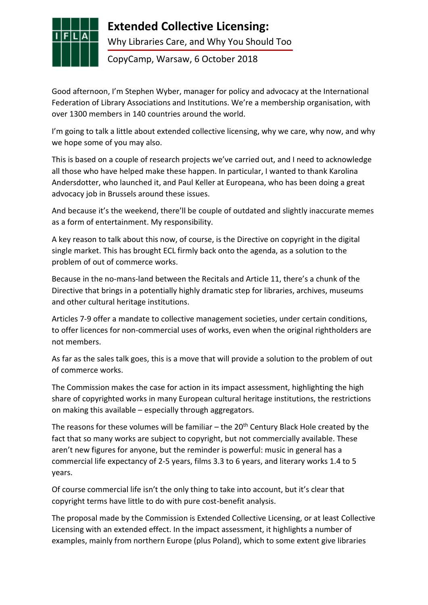

## **Extended Collective Licensing:**

Why Libraries Care, and Why You Should Too

CopyCamp, Warsaw, 6 October 2018

Good afternoon, I'm Stephen Wyber, manager for policy and advocacy at the International Federation of Library Associations and Institutions. We're a membership organisation, with over 1300 members in 140 countries around the world.

I'm going to talk a little about extended collective licensing, why we care, why now, and why we hope some of you may also.

This is based on a couple of research projects we've carried out, and I need to acknowledge all those who have helped make these happen. In particular, I wanted to thank Karolina Andersdotter, who launched it, and Paul Keller at Europeana, who has been doing a great advocacy job in Brussels around these issues.

And because it's the weekend, there'll be couple of outdated and slightly inaccurate memes as a form of entertainment. My responsibility.

A key reason to talk about this now, of course, is the Directive on copyright in the digital single market. This has brought ECL firmly back onto the agenda, as a solution to the problem of out of commerce works.

Because in the no-mans-land between the Recitals and Article 11, there's a chunk of the Directive that brings in a potentially highly dramatic step for libraries, archives, museums and other cultural heritage institutions.

Articles 7-9 offer a mandate to collective management societies, under certain conditions, to offer licences for non-commercial uses of works, even when the original rightholders are not members.

As far as the sales talk goes, this is a move that will provide a solution to the problem of out of commerce works.

The Commission makes the case for action in its impact assessment, highlighting the high share of copyrighted works in many European cultural heritage institutions, the restrictions on making this available – especially through aggregators.

The reasons for these volumes will be familiar – the  $20<sup>th</sup>$  Century Black Hole created by the fact that so many works are subject to copyright, but not commercially available. These aren't new figures for anyone, but the reminder is powerful: music in general has a commercial life expectancy of 2-5 years, films 3.3 to 6 years, and literary works 1.4 to 5 years.

Of course commercial life isn't the only thing to take into account, but it's clear that copyright terms have little to do with pure cost-benefit analysis.

The proposal made by the Commission is Extended Collective Licensing, or at least Collective Licensing with an extended effect. In the impact assessment, it highlights a number of examples, mainly from northern Europe (plus Poland), which to some extent give libraries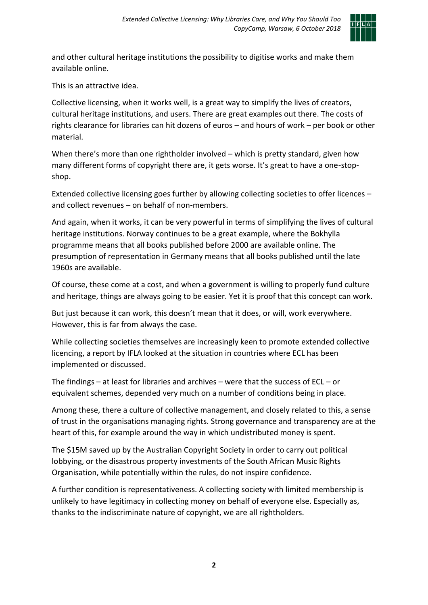

and other cultural heritage institutions the possibility to digitise works and make them available online.

This is an attractive idea.

Collective licensing, when it works well, is a great way to simplify the lives of creators, cultural heritage institutions, and users. There are great examples out there. The costs of rights clearance for libraries can hit dozens of euros – and hours of work – per book or other material.

When there's more than one rightholder involved – which is pretty standard, given how many different forms of copyright there are, it gets worse. It's great to have a one-stopshop.

Extended collective licensing goes further by allowing collecting societies to offer licences – and collect revenues – on behalf of non-members.

And again, when it works, it can be very powerful in terms of simplifying the lives of cultural heritage institutions. Norway continues to be a great example, where the Bokhylla programme means that all books published before 2000 are available online. The presumption of representation in Germany means that all books published until the late 1960s are available.

Of course, these come at a cost, and when a government is willing to properly fund culture and heritage, things are always going to be easier. Yet it is proof that this concept can work.

But just because it can work, this doesn't mean that it does, or will, work everywhere. However, this is far from always the case.

While collecting societies themselves are increasingly keen to promote extended collective licencing, a report by IFLA looked at the situation in countries where ECL has been implemented or discussed.

The findings – at least for libraries and archives – were that the success of ECL – or equivalent schemes, depended very much on a number of conditions being in place.

Among these, there a culture of collective management, and closely related to this, a sense of trust in the organisations managing rights. Strong governance and transparency are at the heart of this, for example around the way in which undistributed money is spent.

The \$15M saved up by the Australian Copyright Society in order to carry out political lobbying, or the disastrous property investments of the South African Music Rights Organisation, while potentially within the rules, do not inspire confidence.

A further condition is representativeness. A collecting society with limited membership is unlikely to have legitimacy in collecting money on behalf of everyone else. Especially as, thanks to the indiscriminate nature of copyright, we are all rightholders.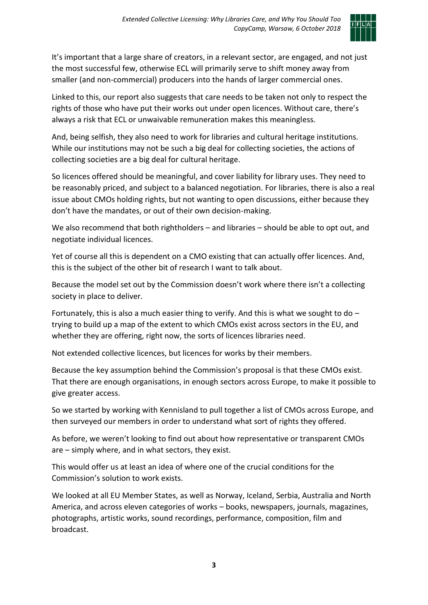

It's important that a large share of creators, in a relevant sector, are engaged, and not just the most successful few, otherwise ECL will primarily serve to shift money away from smaller (and non-commercial) producers into the hands of larger commercial ones.

Linked to this, our report also suggests that care needs to be taken not only to respect the rights of those who have put their works out under open licences. Without care, there's always a risk that ECL or unwaivable remuneration makes this meaningless.

And, being selfish, they also need to work for libraries and cultural heritage institutions. While our institutions may not be such a big deal for collecting societies, the actions of collecting societies are a big deal for cultural heritage.

So licences offered should be meaningful, and cover liability for library uses. They need to be reasonably priced, and subject to a balanced negotiation. For libraries, there is also a real issue about CMOs holding rights, but not wanting to open discussions, either because they don't have the mandates, or out of their own decision-making.

We also recommend that both rightholders – and libraries – should be able to opt out, and negotiate individual licences.

Yet of course all this is dependent on a CMO existing that can actually offer licences. And, this is the subject of the other bit of research I want to talk about.

Because the model set out by the Commission doesn't work where there isn't a collecting society in place to deliver.

Fortunately, this is also a much easier thing to verify. And this is what we sought to do  $$ trying to build up a map of the extent to which CMOs exist across sectors in the EU, and whether they are offering, right now, the sorts of licences libraries need.

Not extended collective licences, but licences for works by their members.

Because the key assumption behind the Commission's proposal is that these CMOs exist. That there are enough organisations, in enough sectors across Europe, to make it possible to give greater access.

So we started by working with Kennisland to pull together a list of CMOs across Europe, and then surveyed our members in order to understand what sort of rights they offered.

As before, we weren't looking to find out about how representative or transparent CMOs are – simply where, and in what sectors, they exist.

This would offer us at least an idea of where one of the crucial conditions for the Commission's solution to work exists.

We looked at all EU Member States, as well as Norway, Iceland, Serbia, Australia and North America, and across eleven categories of works – books, newspapers, journals, magazines, photographs, artistic works, sound recordings, performance, composition, film and broadcast.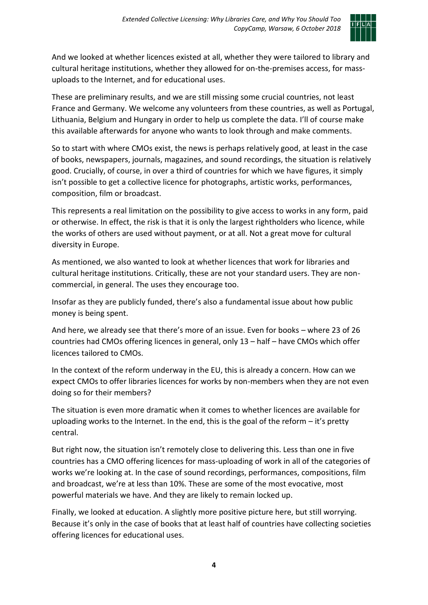

And we looked at whether licences existed at all, whether they were tailored to library and cultural heritage institutions, whether they allowed for on-the-premises access, for massuploads to the Internet, and for educational uses.

These are preliminary results, and we are still missing some crucial countries, not least France and Germany. We welcome any volunteers from these countries, as well as Portugal, Lithuania, Belgium and Hungary in order to help us complete the data. I'll of course make this available afterwards for anyone who wants to look through and make comments.

So to start with where CMOs exist, the news is perhaps relatively good, at least in the case of books, newspapers, journals, magazines, and sound recordings, the situation is relatively good. Crucially, of course, in over a third of countries for which we have figures, it simply isn't possible to get a collective licence for photographs, artistic works, performances, composition, film or broadcast.

This represents a real limitation on the possibility to give access to works in any form, paid or otherwise. In effect, the risk is that it is only the largest rightholders who licence, while the works of others are used without payment, or at all. Not a great move for cultural diversity in Europe.

As mentioned, we also wanted to look at whether licences that work for libraries and cultural heritage institutions. Critically, these are not your standard users. They are noncommercial, in general. The uses they encourage too.

Insofar as they are publicly funded, there's also a fundamental issue about how public money is being spent.

And here, we already see that there's more of an issue. Even for books – where 23 of 26 countries had CMOs offering licences in general, only 13 – half – have CMOs which offer licences tailored to CMOs.

In the context of the reform underway in the EU, this is already a concern. How can we expect CMOs to offer libraries licences for works by non-members when they are not even doing so for their members?

The situation is even more dramatic when it comes to whether licences are available for uploading works to the Internet. In the end, this is the goal of the reform  $-$  it's pretty central.

But right now, the situation isn't remotely close to delivering this. Less than one in five countries has a CMO offering licences for mass-uploading of work in all of the categories of works we're looking at. In the case of sound recordings, performances, compositions, film and broadcast, we're at less than 10%. These are some of the most evocative, most powerful materials we have. And they are likely to remain locked up.

Finally, we looked at education. A slightly more positive picture here, but still worrying. Because it's only in the case of books that at least half of countries have collecting societies offering licences for educational uses.